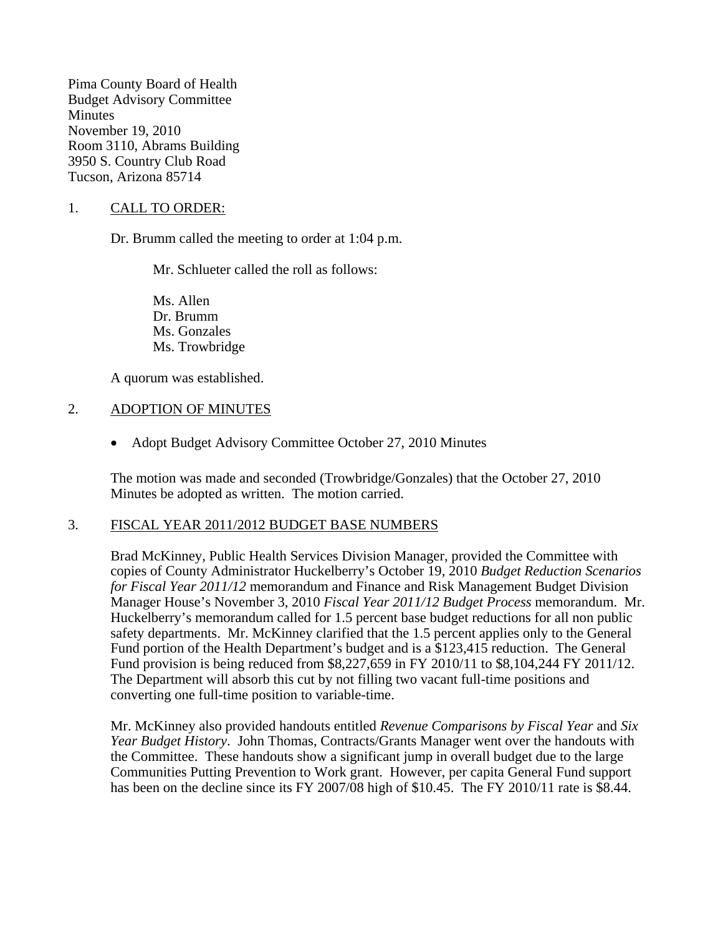Pima County Board of Health Budget Advisory Committee **Minutes** November 19, 2010 Room 3110, Abrams Building 3950 S. Country Club Road Tucson, Arizona 85714

1. CALL TO ORDER:

Dr. Brumm called the meeting to order at 1:04 p.m.

Mr. Schlueter called the roll as follows:

Ms. Allen Dr. Brumm Ms. Gonzales Ms. Trowbridge

A quorum was established.

#### 2. ADOPTION OF MINUTES

• Adopt Budget Advisory Committee October 27, 2010 Minutes

The motion was made and seconded (Trowbridge/Gonzales) that the October 27, 2010 Minutes be adopted as written. The motion carried.

#### 3. FISCAL YEAR 2011/2012 BUDGET BASE NUMBERS

Brad McKinney, Public Health Services Division Manager, provided the Committee with copies of County Administrator Huckelberry's October 19, 2010 *Budget Reduction Scenarios for Fiscal Year 2011/12* memorandum and Finance and Risk Management Budget Division Manager House's November 3, 2010 *Fiscal Year 2011/12 Budget Process* memorandum. Mr. Huckelberry's memorandum called for 1.5 percent base budget reductions for all non public safety departments. Mr. McKinney clarified that the 1.5 percent applies only to the General Fund portion of the Health Department's budget and is a \$123,415 reduction. The General Fund provision is being reduced from \$8,227,659 in FY 2010/11 to \$8,104,244 FY 2011/12. The Department will absorb this cut by not filling two vacant full-time positions and converting one full-time position to variable-time.

Mr. McKinney also provided handouts entitled *Revenue Comparisons by Fiscal Year* and *Six Year Budget History*. John Thomas, Contracts/Grants Manager went over the handouts with the Committee. These handouts show a significant jump in overall budget due to the large Communities Putting Prevention to Work grant. However, per capita General Fund support has been on the decline since its FY 2007/08 high of \$10.45. The FY 2010/11 rate is \$8.44.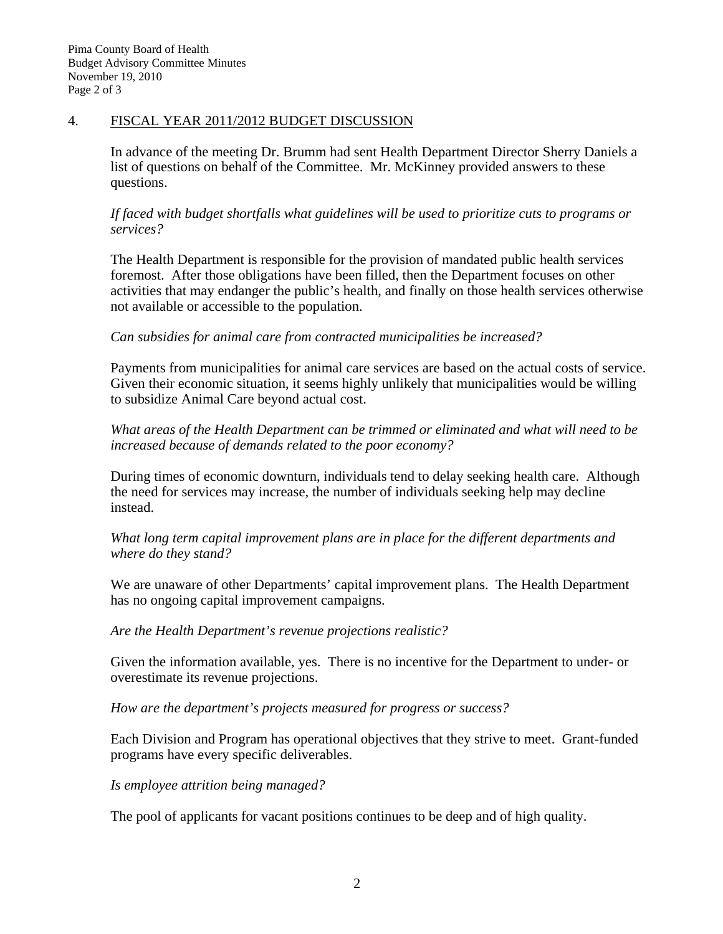### 4. FISCAL YEAR 2011/2012 BUDGET DISCUSSION

In advance of the meeting Dr. Brumm had sent Health Department Director Sherry Daniels a list of questions on behalf of the Committee. Mr. McKinney provided answers to these questions.

*If faced with budget shortfalls what guidelines will be used to prioritize cuts to programs or services?* 

The Health Department is responsible for the provision of mandated public health services foremost. After those obligations have been filled, then the Department focuses on other activities that may endanger the public's health, and finally on those health services otherwise not available or accessible to the population.

### *Can subsidies for animal care from contracted municipalities be increased?*

Payments from municipalities for animal care services are based on the actual costs of service. Given their economic situation, it seems highly unlikely that municipalities would be willing to subsidize Animal Care beyond actual cost.

*What areas of the Health Department can be trimmed or eliminated and what will need to be increased because of demands related to the poor economy?*

During times of economic downturn, individuals tend to delay seeking health care. Although the need for services may increase, the number of individuals seeking help may decline instead.

*What long term capital improvement plans are in place for the different departments and where do they stand?*

We are unaware of other Departments' capital improvement plans. The Health Department has no ongoing capital improvement campaigns.

*Are the Health Department's revenue projections realistic?*

Given the information available, yes. There is no incentive for the Department to under- or overestimate its revenue projections.

*How are the department's projects measured for progress or success?* 

Each Division and Program has operational objectives that they strive to meet. Grant-funded programs have every specific deliverables.

*Is employee attrition being managed?* 

The pool of applicants for vacant positions continues to be deep and of high quality.